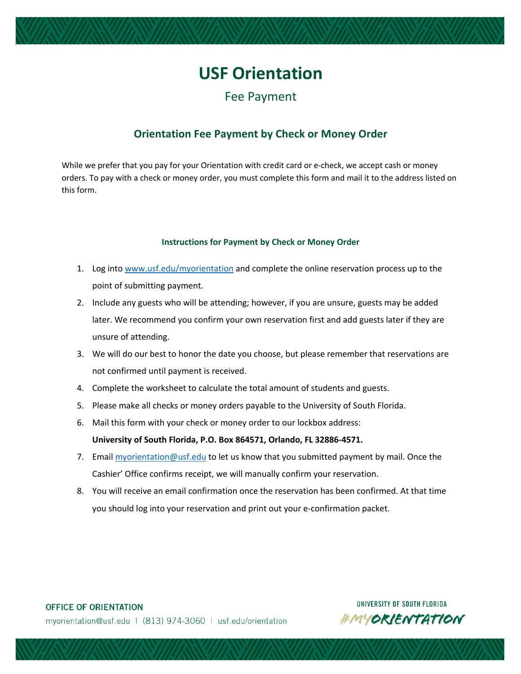# **USF Orientation**

Fee Payment

### **Orientation Fee Payment by Check or Money Order**

While we prefer that you pay for your Orientation with credit card or e-check, we accept cash or money orders. To pay with a check or money order, you must complete this form and mail it to the address listed on this form.

#### **Instructions for Payment by Check or Money Order**

- 1. Log into www.usf.edu/myorientation and complete the online reservation process up to the point of submitting payment.
- 2. Include any guests who will be attending; however, if you are unsure, guests may be added later. We recommend you confirm your own reservation first and add guests later if they are unsure of attending.
- 3. We will do our best to honor the date you choose, but please remember that reservations are not confirmed until payment is received.
- 4. Complete the worksheet to calculate the total amount of students and guests.
- 5. Please make all checks or money orders payable to the University of South Florida.
- 6. Mail this form with your check or money order to our lockbox address:

#### **University of South Florida, P.O. Box 864571, Orlando, FL 32886-4571.**

- 7. Email myorientation@usf.edu to let us know that you submitted payment by mail. Once the Cashier' Office confirms receipt, we will manually confirm your reservation.
- 8. You will receive an email confirmation once the reservation has been confirmed. At that time you should log into your reservation and print out your e-confirmation packet.